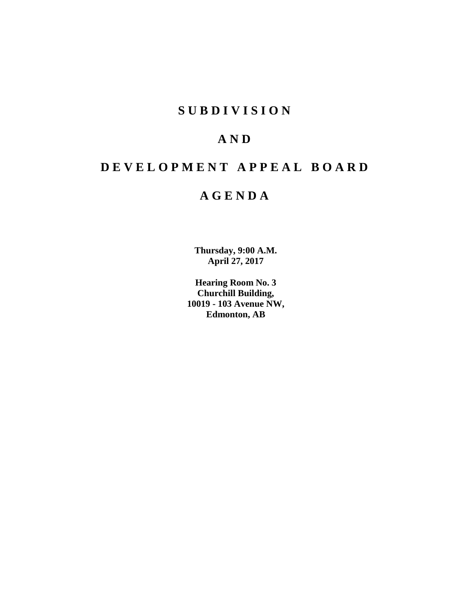## **SUBDIVISION**

## **AND**

# **DEVELOPMENT APPEAL BOARD**

## **AGENDA**

**Thursday, 9:00 A.M. April 27, 2017**

**Hearing Room No. 3 Churchill Building, 10019 - 103 Avenue NW, Edmonton, AB**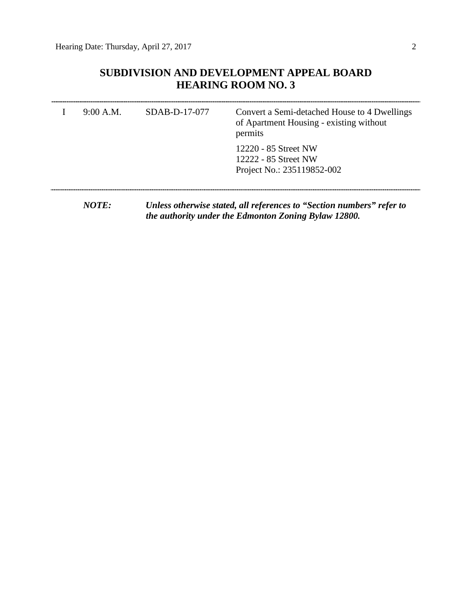## **SUBDIVISION AND DEVELOPMENT APPEAL BOARD HEARING ROOM NO. 3**

| 9:00 A.M. | SDAB-D-17-077 | Convert a Semi-detached House to 4 Dwellings<br>of Apartment Housing - existing without<br>permits |  |  |
|-----------|---------------|----------------------------------------------------------------------------------------------------|--|--|
|           |               | 12220 - 85 Street NW<br>12222 - 85 Street NW<br>Project No.: 235119852-002                         |  |  |
|           |               |                                                                                                    |  |  |

*NOTE: Unless otherwise stated, all references to "Section numbers" refer to the authority under the Edmonton Zoning Bylaw 12800.*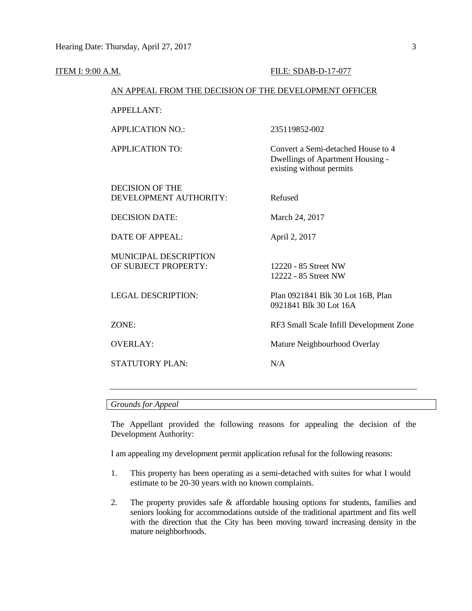| ITEM I: 9:00 A.M. |                                                        | FILE: SDAB-D-17-077                                                                                |  |  |  |
|-------------------|--------------------------------------------------------|----------------------------------------------------------------------------------------------------|--|--|--|
|                   | AN APPEAL FROM THE DECISION OF THE DEVELOPMENT OFFICER |                                                                                                    |  |  |  |
|                   | <b>APPELLANT:</b>                                      |                                                                                                    |  |  |  |
|                   | <b>APPLICATION NO.:</b>                                | 235119852-002                                                                                      |  |  |  |
|                   | <b>APPLICATION TO:</b>                                 | Convert a Semi-detached House to 4<br>Dwellings of Apartment Housing -<br>existing without permits |  |  |  |
|                   | <b>DECISION OF THE</b><br>DEVELOPMENT AUTHORITY:       | Refused                                                                                            |  |  |  |
|                   | <b>DECISION DATE:</b>                                  | March 24, 2017                                                                                     |  |  |  |
|                   | <b>DATE OF APPEAL:</b>                                 | April 2, 2017                                                                                      |  |  |  |
|                   | MUNICIPAL DESCRIPTION<br>OF SUBJECT PROPERTY:          | 12220 - 85 Street NW<br>12222 - 85 Street NW                                                       |  |  |  |
|                   | <b>LEGAL DESCRIPTION:</b>                              | Plan 0921841 Blk 30 Lot 16B, Plan<br>0921841 Blk 30 Lot 16A                                        |  |  |  |
|                   | ZONE:                                                  | RF3 Small Scale Infill Development Zone                                                            |  |  |  |
|                   | <b>OVERLAY:</b>                                        | Mature Neighbourhood Overlay                                                                       |  |  |  |
|                   | <b>STATUTORY PLAN:</b>                                 | N/A                                                                                                |  |  |  |
|                   |                                                        |                                                                                                    |  |  |  |

### *Grounds for Appeal*

The Appellant provided the following reasons for appealing the decision of the Development Authority:

I am appealing my development permit application refusal for the following reasons:

- 1. This property has been operating as a semi-detached with suites for what I would estimate to be 20-30 years with no known complaints.
- 2. The property provides safe & affordable housing options for students, families and seniors looking for accommodations outside of the traditional apartment and fits well with the direction that the City has been moving toward increasing density in the mature neighborhoods.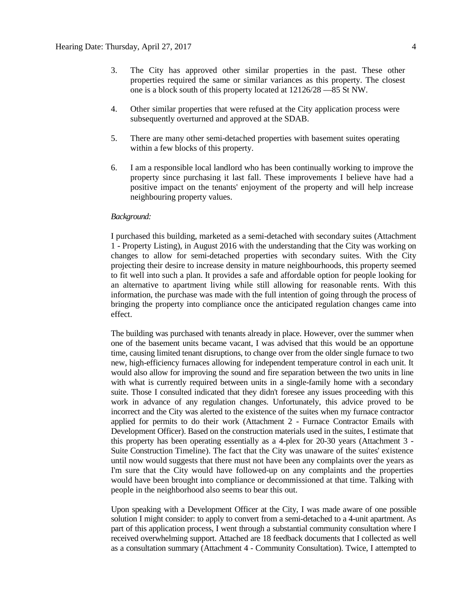- 3. The City has approved other similar properties in the past. These other properties required the same or similar variances as this property. The closest one is a block south of this property located at 12126/28 —85 St NW.
- 4. Other similar properties that were refused at the City application process were subsequently overturned and approved at the SDAB.
- 5. There are many other semi-detached properties with basement suites operating within a few blocks of this property.
- 6. I am a responsible local landlord who has been continually working to improve the property since purchasing it last fall. These improvements I believe have had a positive impact on the tenants' enjoyment of the property and will help increase neighbouring property values.

#### *Background:*

I purchased this building, marketed as a semi-detached with secondary suites (Attachment 1 - Property Listing), in August 2016 with the understanding that the City was working on changes to allow for semi-detached properties with secondary suites. With the City projecting their desire to increase density in mature neighbourhoods, this property seemed to fit well into such a plan. It provides a safe and affordable option for people looking for an alternative to apartment living while still allowing for reasonable rents. With this information, the purchase was made with the full intention of going through the process of bringing the property into compliance once the anticipated regulation changes came into effect.

The building was purchased with tenants already in place. However, over the summer when one of the basement units became vacant, I was advised that this would be an opportune time, causing limited tenant disruptions, to change over from the older single furnace to two new, high-efficiency furnaces allowing for independent temperature control in each unit. It would also allow for improving the sound and fire separation between the two units in line with what is currently required between units in a single-family home with a secondary suite. Those I consulted indicated that they didn't foresee any issues proceeding with this work in advance of any regulation changes. Unfortunately, this advice proved to be incorrect and the City was alerted to the existence of the suites when my furnace contractor applied for permits to do their work (Attachment 2 - Furnace Contractor Emails with Development Officer). Based on the construction materials used in the suites, I estimate that this property has been operating essentially as a 4-plex for 20-30 years (Attachment 3 - Suite Construction Timeline). The fact that the City was unaware of the suites' existence until now would suggests that there must not have been any complaints over the years as I'm sure that the City would have followed-up on any complaints and the properties would have been brought into compliance or decommissioned at that time. Talking with people in the neighborhood also seems to bear this out.

Upon speaking with a Development Officer at the City, I was made aware of one possible solution I might consider: to apply to convert from a semi-detached to a 4-unit apartment. As part of this application process, I went through a substantial community consultation where I received overwhelming support. Attached are 18 feedback documents that I collected as well as a consultation summary (Attachment 4 - Community Consultation). Twice, I attempted to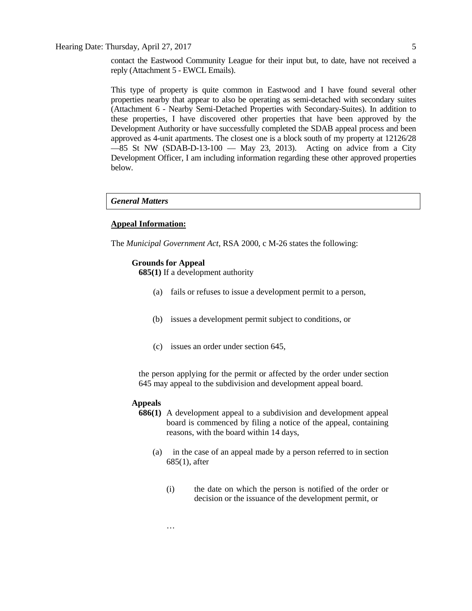Hearing Date: Thursday, April 27, 2017 5

contact the Eastwood Community League for their input but, to date, have not received a reply (Attachment 5 - EWCL Emails).

This type of property is quite common in Eastwood and I have found several other properties nearby that appear to also be operating as semi-detached with secondary suites (Attachment 6 - Nearby Semi-Detached Properties with Secondary-Suites). In addition to these properties, I have discovered other properties that have been approved by the Development Authority or have successfully completed the SDAB appeal process and been approved as 4-unit apartments. The closest one is a block south of my property at 12126/28  $-85$  St NW (SDAB-D-13-100  $-$  May 23, 2013). Acting on advice from a City Development Officer, I am including information regarding these other approved properties below.

#### *General Matters*

#### **Appeal Information:**

The *Municipal Government Act*, RSA 2000, c M-26 states the following:

#### **Grounds for Appeal**

**685(1)** If a development authority

- (a) fails or refuses to issue a development permit to a person,
- (b) issues a development permit subject to conditions, or
- (c) issues an order under section 645,

the person applying for the permit or affected by the order under section 645 may appeal to the subdivision and development appeal board.

#### **Appeals**

- **686(1)** A development appeal to a subdivision and development appeal board is commenced by filing a notice of the appeal, containing reasons, with the board within 14 days,
	- (a) in the case of an appeal made by a person referred to in section 685(1), after
		- (i) the date on which the person is notified of the order or decision or the issuance of the development permit, or

…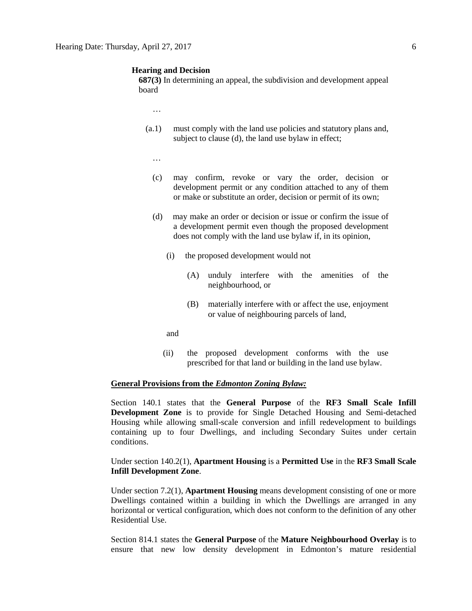#### **Hearing and Decision**

**687(3)** In determining an appeal, the subdivision and development appeal board

- …
- (a.1) must comply with the land use policies and statutory plans and, subject to clause (d), the land use bylaw in effect;
	- …
	- (c) may confirm, revoke or vary the order, decision or development permit or any condition attached to any of them or make or substitute an order, decision or permit of its own;
	- (d) may make an order or decision or issue or confirm the issue of a development permit even though the proposed development does not comply with the land use bylaw if, in its opinion,
		- (i) the proposed development would not
			- (A) unduly interfere with the amenities of the neighbourhood, or
			- (B) materially interfere with or affect the use, enjoyment or value of neighbouring parcels of land,
		- and
		- (ii) the proposed development conforms with the use prescribed for that land or building in the land use bylaw.

#### **General Provisions from the** *Edmonton Zoning Bylaw:*

Section 140.1 states that the **General Purpose** of the **RF3 Small Scale Infill Development Zone** is to provide for Single Detached Housing and Semi-detached Housing while allowing small-scale conversion and infill redevelopment to buildings containing up to four Dwellings, and including Secondary Suites under certain conditions.

Under section 140.2(1), **Apartment Housing** is a **Permitted Use** in the **RF3 Small Scale Infill Development Zone**.

Under section 7.2(1), **Apartment Housing** means development consisting of one or more Dwellings contained within a building in which the Dwellings are arranged in any horizontal or vertical configuration, which does not conform to the definition of any other Residential Use.

Section 814.1 states the **General Purpose** of the **Mature Neighbourhood Overlay** is to ensure that new low density development in Edmonton's mature residential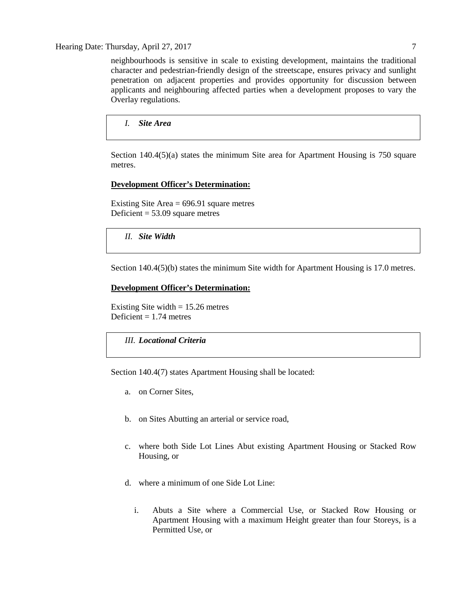Hearing Date: Thursday, April 27, 2017 7

neighbourhoods is sensitive in scale to existing development, maintains the traditional character and pedestrian-friendly design of the streetscape, ensures privacy and sunlight penetration on adjacent properties and provides opportunity for discussion between applicants and neighbouring affected parties when a development proposes to vary the Overlay regulations.

*I. Site Area*

Section 140.4(5)(a) states the minimum Site area for Apartment Housing is 750 square metres.

### **Development Officer's Determination:**

Existing Site Area = 696.91 square metres Deficient  $= 53.09$  square metres

*II. Site Width*

Section 140.4(5)(b) states the minimum Site width for Apartment Housing is 17.0 metres.

#### **Development Officer's Determination:**

Existing Site width  $= 15.26$  metres Deficient  $= 1.74$  metres

### *III. Locational Criteria*

Section 140.4(7) states Apartment Housing shall be located:

- a. on Corner Sites,
- b. on Sites Abutting an arterial or service road,
- c. where both Side Lot Lines Abut existing Apartment Housing or Stacked Row Housing, or
- d. where a minimum of one Side Lot Line:
	- i. Abuts a Site where a Commercial Use, or Stacked Row Housing or Apartment Housing with a maximum Height greater than four Storeys, is a Permitted Use, or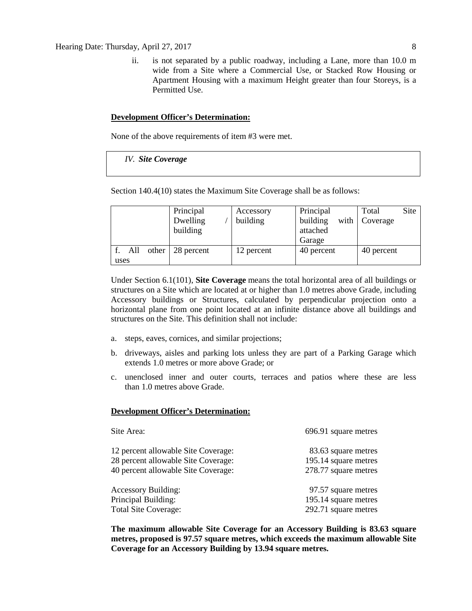ii. is not separated by a public roadway, including a Lane, more than 10.0 m wide from a Site where a Commercial Use, or Stacked Row Housing or Apartment Housing with a maximum Height greater than four Storeys, is a Permitted Use.

#### **Development Officer's Determination:**

None of the above requirements of item #3 were met.

*IV. Site Coverage*

Section 140.4(10) states the Maximum Site Coverage shall be as follows:

|      |     |       | Principal  | Accessory  | Principal  | Site<br>Total |
|------|-----|-------|------------|------------|------------|---------------|
|      |     |       | Dwelling   | building   | building   | with Coverage |
|      |     |       | building   |            | attached   |               |
|      |     |       |            |            | Garage     |               |
|      | All | other | 28 percent | 12 percent | 40 percent | 40 percent    |
| uses |     |       |            |            |            |               |

Under Section 6.1(101), **Site Coverage** means the total horizontal area of all buildings or structures on a Site which are located at or higher than 1.0 metres above Grade, including Accessory buildings or Structures, calculated by perpendicular projection onto a horizontal plane from one point located at an infinite distance above all buildings and structures on the Site. This definition shall not include:

- a. steps, eaves, cornices, and similar projections;
- b. driveways, aisles and parking lots unless they are part of a Parking Garage which extends [1.0](javascript:void(0);) metres or more above Grade; or
- c. unenclosed inner and outer courts, terraces and patios where these are less than [1.0](javascript:void(0);) metres above Grade.

#### **Development Officer's Determination:**

| Site Area:                          | 696.91 square metres |
|-------------------------------------|----------------------|
| 12 percent allowable Site Coverage: | 83.63 square metres  |
| 28 percent allowable Site Coverage: | 195.14 square metres |
| 40 percent allowable Site Coverage: | 278.77 square metres |
| <b>Accessory Building:</b>          | 97.57 square metres  |
| Principal Building:                 | 195.14 square metres |
| <b>Total Site Coverage:</b>         | 292.71 square metres |

**The maximum allowable Site Coverage for an Accessory Building is 83.63 square metres, proposed is 97.57 square metres, which exceeds the maximum allowable Site Coverage for an Accessory Building by 13.94 square metres.**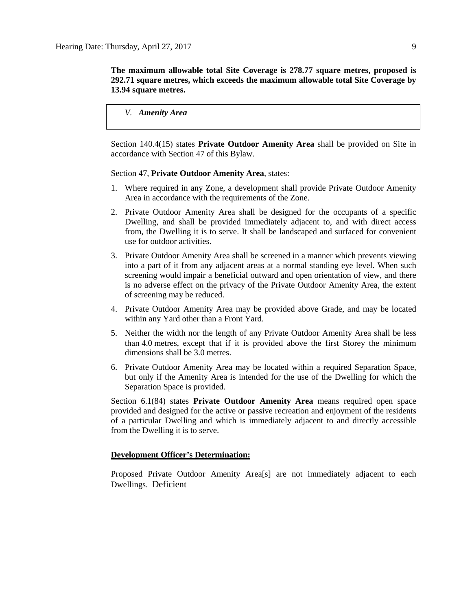**The maximum allowable total Site Coverage is 278.77 square metres, proposed is 292.71 square metres, which exceeds the maximum allowable total Site Coverage by 13.94 square metres.**

*V. Amenity Area*

Section 140.4(15) states **Private Outdoor Amenity Area** shall be provided on Site in accordance with Section 47 of this Bylaw.

Section 47, **Private Outdoor Amenity Area**, states:

- 1. Where required in any Zone, a development shall provide Private Outdoor Amenity Area in accordance with the requirements of the Zone.
- 2. Private Outdoor Amenity Area shall be designed for the occupants of a specific Dwelling, and shall be provided immediately adjacent to, and with direct access from, the Dwelling it is to serve. It shall be landscaped and surfaced for convenient use for outdoor activities.
- 3. Private Outdoor Amenity Area shall be screened in a manner which prevents viewing into a part of it from any adjacent areas at a normal standing eye level. When such screening would impair a beneficial outward and open orientation of view, and there is no adverse effect on the privacy of the Private Outdoor Amenity Area, the extent of screening may be reduced.
- 4. Private Outdoor Amenity Area may be provided above Grade, and may be located within any Yard other than a Front Yard.
- 5. Neither the width nor the length of any Private Outdoor Amenity Area shall be less than 4.0 metres, except that if it is provided above the first Storey the minimum dimensions shall be 3.0 metres.
- 6. Private Outdoor Amenity Area may be located within a required Separation Space, but only if the Amenity Area is intended for the use of the Dwelling for which the Separation Space is provided.

Section 6.1(84) states **Private Outdoor Amenity Area** means required open space provided and designed for the active or passive recreation and enjoyment of the residents of a particular Dwelling and which is immediately adjacent to and directly accessible from the Dwelling it is to serve.

#### **Development Officer's Determination:**

Proposed Private Outdoor Amenity Area[s] are not immediately adjacent to each Dwellings. Deficient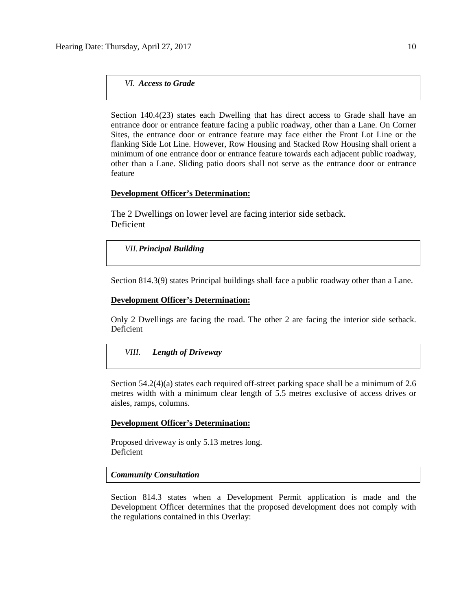*VI. Access to Grade*

Section 140.4(23) states each Dwelling that has direct access to Grade shall have an entrance door or entrance feature facing a public roadway, other than a Lane. On Corner Sites, the entrance door or entrance feature may face either the Front Lot Line or the flanking Side Lot Line. However, Row Housing and Stacked Row Housing shall orient a minimum of one entrance door or entrance feature towards each adjacent public roadway, other than a Lane. Sliding patio doors shall not serve as the entrance door or entrance feature

#### **Development Officer's Determination:**

The 2 Dwellings on lower level are facing interior side setback. Deficient

#### *VII.Principal Building*

Section 814.3(9) states Principal buildings shall face a public roadway other than a Lane.

#### **Development Officer's Determination:**

Only 2 Dwellings are facing the road. The other 2 are facing the interior side setback. Deficient

#### *VIII. Length of Driveway*

Section 54.2(4)(a) states each required off-street parking space shall be a minimum of 2.6 metres width with a minimum clear length of 5.5 metres exclusive of access drives or aisles, ramps, columns.

#### **Development Officer's Determination:**

Proposed driveway is only 5.13 metres long. Deficient

#### *Community Consultation*

Section 814.3 states when a Development Permit application is made and the Development Officer determines that the proposed development does not comply with the regulations contained in this Overlay: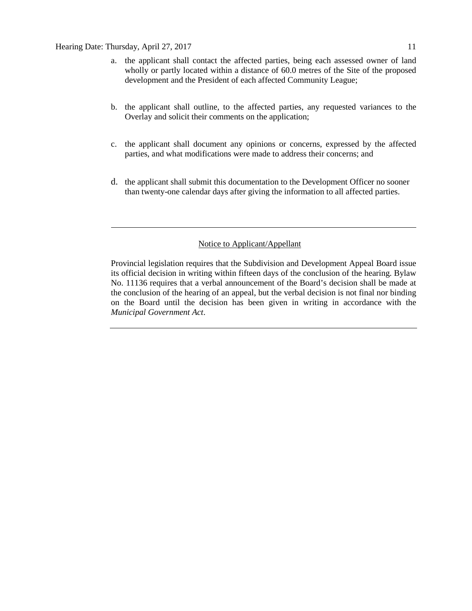#### Hearing Date: Thursday, April 27, 2017 11

- a. the applicant shall contact the affected parties, being each assessed owner of land wholly or partly located within a distance of 60.0 metres of the Site of the proposed development and the President of each affected Community League;
- b. the applicant shall outline, to the affected parties, any requested variances to the Overlay and solicit their comments on the application;
- c. the applicant shall document any opinions or concerns, expressed by the affected parties, and what modifications were made to address their concerns; and
- d. the applicant shall submit this documentation to the Development Officer no sooner than twenty-one calendar days after giving the information to all affected parties.

### Notice to Applicant/Appellant

Provincial legislation requires that the Subdivision and Development Appeal Board issue its official decision in writing within fifteen days of the conclusion of the hearing. Bylaw No. 11136 requires that a verbal announcement of the Board's decision shall be made at the conclusion of the hearing of an appeal, but the verbal decision is not final nor binding on the Board until the decision has been given in writing in accordance with the *Municipal Government Act*.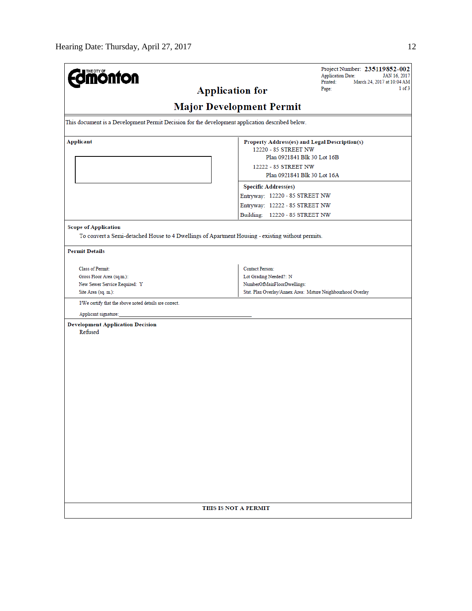| <b>Imónfon</b><br><b>Application for</b>                                                                                                                 | Project Number: 235119852-002<br><b>Application Date:</b><br>JAN 16, 2017<br>Printed:<br>March 24, 2017 at 10:04 AM<br>1 of 3<br>Page:                                                                                                                         |  |  |  |  |  |
|----------------------------------------------------------------------------------------------------------------------------------------------------------|----------------------------------------------------------------------------------------------------------------------------------------------------------------------------------------------------------------------------------------------------------------|--|--|--|--|--|
| <b>Major Development Permit</b>                                                                                                                          |                                                                                                                                                                                                                                                                |  |  |  |  |  |
| This document is a Development Permit Decision for the development application described below.                                                          |                                                                                                                                                                                                                                                                |  |  |  |  |  |
| <b>Applicant</b>                                                                                                                                         | Property Address(es) and Legal Description(s)<br>12220 - 85 STREET NW<br>Plan 0921841 Blk 30 Lot 16B<br>12222 - 85 STREET NW<br>Plan 0921841 Blk 30 Lot 16A<br><b>Specific Address(es)</b><br>Entryway: 12220 - 85 STREET NW<br>Entryway: 12222 - 85 STREET NW |  |  |  |  |  |
| <b>Scope of Application</b><br>To convert a Semi-detached House to 4 Dwellings of Apartment Housing - existing without permits.<br><b>Permit Details</b> | Building: 12220 - 85 STREET NW                                                                                                                                                                                                                                 |  |  |  |  |  |
| <b>Class of Permit:</b><br>Gross Floor Area (sq.m.):<br>New Sewer Service Required: Y<br>Site Area (sq. m.):                                             | <b>Contact Person:</b><br>Lot Grading Needed?: N<br>NumberOfMainFloorDwellings:<br>Stat. Plan Overlay/Annex Area: Mature Neighbourhood Overlay                                                                                                                 |  |  |  |  |  |
| I/We certify that the above noted details are correct.                                                                                                   |                                                                                                                                                                                                                                                                |  |  |  |  |  |
| Applicant signature:<br><b>Development Application Decision</b><br>Refused                                                                               |                                                                                                                                                                                                                                                                |  |  |  |  |  |
| THIS IS NOT A PERMIT                                                                                                                                     |                                                                                                                                                                                                                                                                |  |  |  |  |  |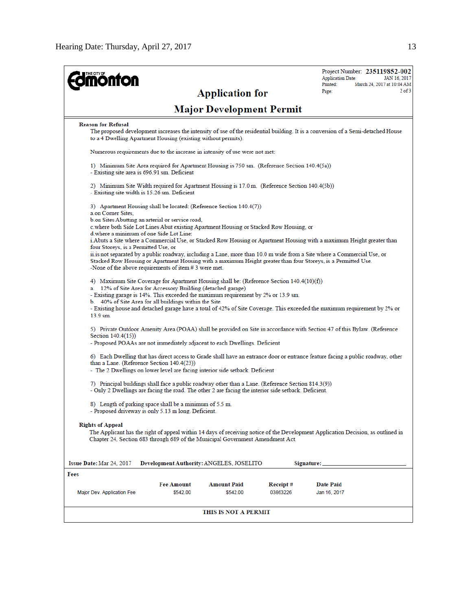| THE CITY OF<br><b>onton</b>                                                                                                                                                                                                                                                                                                                                                                                                                       |                                                                                                                                                                                                                                                                                                     |                                 |                      | Project Number: 235119852-002<br><b>Application Date:</b><br>JAN 16, 2017<br>Printed:<br>March 24, 2017 at 10:04 AM              |  |  |  |
|---------------------------------------------------------------------------------------------------------------------------------------------------------------------------------------------------------------------------------------------------------------------------------------------------------------------------------------------------------------------------------------------------------------------------------------------------|-----------------------------------------------------------------------------------------------------------------------------------------------------------------------------------------------------------------------------------------------------------------------------------------------------|---------------------------------|----------------------|----------------------------------------------------------------------------------------------------------------------------------|--|--|--|
|                                                                                                                                                                                                                                                                                                                                                                                                                                                   |                                                                                                                                                                                                                                                                                                     | <b>Application for</b>          |                      | $2$ of $3$<br>Page:                                                                                                              |  |  |  |
|                                                                                                                                                                                                                                                                                                                                                                                                                                                   |                                                                                                                                                                                                                                                                                                     | <b>Major Development Permit</b> |                      |                                                                                                                                  |  |  |  |
| <b>Reason for Refusal</b>                                                                                                                                                                                                                                                                                                                                                                                                                         | to a 4 Dwelling Apartment Housing (existing without permits).                                                                                                                                                                                                                                       |                                 |                      | The proposed development increases the intensity of use of the residential building. It is a conversion of a Semi-detached House |  |  |  |
|                                                                                                                                                                                                                                                                                                                                                                                                                                                   | Numerous requirements due to the increase in intensity of use were not met:                                                                                                                                                                                                                         |                                 |                      |                                                                                                                                  |  |  |  |
| - Existing site area is 696.91 sm. Deficient                                                                                                                                                                                                                                                                                                                                                                                                      | 1) Minimum Site Area required for Apartment Housing is 750 sm. (Reference Section 140.4(5a))                                                                                                                                                                                                        |                                 |                      |                                                                                                                                  |  |  |  |
| - Existing site width is 15.26 sm. Deficient                                                                                                                                                                                                                                                                                                                                                                                                      | 2) Minimum Site Width required for Apartment Housing is 17.0 m. (Reference Section 140.4(5b))                                                                                                                                                                                                       |                                 |                      |                                                                                                                                  |  |  |  |
| a.on Corner Sites,                                                                                                                                                                                                                                                                                                                                                                                                                                | 3) Apartment Housing shall be located: (Reference Section 140.4(7))                                                                                                                                                                                                                                 |                                 |                      |                                                                                                                                  |  |  |  |
|                                                                                                                                                                                                                                                                                                                                                                                                                                                   | b.on Sites Abutting an arterial or service road,<br>c.where both Side Lot Lines Abut existing Apartment Housing or Stacked Row Housing, or                                                                                                                                                          |                                 |                      |                                                                                                                                  |  |  |  |
| d where a minimum of one Side Lot Line:<br>four Storeys, is a Permitted Use, or                                                                                                                                                                                                                                                                                                                                                                   |                                                                                                                                                                                                                                                                                                     |                                 |                      | i. Abuts a Site where a Commercial Use, or Stacked Row Housing or Apartment Housing with a maximum Height greater than           |  |  |  |
|                                                                                                                                                                                                                                                                                                                                                                                                                                                   | ii is not separated by a public roadway, including a Lane, more than 10.0 m wide from a Site where a Commercial Use, or<br>Stacked Row Housing or Apartment Housing with a maximum Height greater than four Storeys, is a Permitted Use.<br>-None of the above requirements of item $# 3$ were met. |                                 |                      |                                                                                                                                  |  |  |  |
| 4) Maximum Site Coverage for Apartment Housing shall be: (Reference Section 140.4(10)(f))<br>a. 12% of Site Area for Accessory Building (detached garage)<br>- Existing garage is 14%. This exceeded the maximum requirement by 2% or 13.9 sm.<br>b. 40% of Site Area for all buildings within the Site.<br>- Existing house and detached garage have a total of 42% of Site Coverage. This exceeded the maximum requirement by 2% or<br>13.9 sm. |                                                                                                                                                                                                                                                                                                     |                                 |                      |                                                                                                                                  |  |  |  |
| Section 140.4(15))                                                                                                                                                                                                                                                                                                                                                                                                                                | - Proposed POAAs are not immediately adjacent to each Dwellings. Deficient                                                                                                                                                                                                                          |                                 |                      | 5) Private Outdoor Amenity Area (POAA) shall be provided on Site in accordance with Section 47 of this Bylaw. (Reference         |  |  |  |
| 6) Each Dwelling that has direct access to Grade shall have an entrance door or entrance feature facing a public roadway, other<br>than a Lane. (Reference Section 140.4(23))<br>- The 2 Dwellings on lower level are facing interior side setback. Deficient                                                                                                                                                                                     |                                                                                                                                                                                                                                                                                                     |                                 |                      |                                                                                                                                  |  |  |  |
|                                                                                                                                                                                                                                                                                                                                                                                                                                                   | 7) Principal buildings shall face a public roadway other than a Lane. (Reference Section 814.3(9))<br>- Only 2 Dwellings are facing the road. The other 2 are facing the interior side setback. Deficient.                                                                                          |                                 |                      |                                                                                                                                  |  |  |  |
|                                                                                                                                                                                                                                                                                                                                                                                                                                                   | 8) Length of parking space shall be a minimum of 5.5 m.<br>- Proposed driveway is only 5.13 m long. Deficient.                                                                                                                                                                                      |                                 |                      |                                                                                                                                  |  |  |  |
| <b>Rights of Appeal</b>                                                                                                                                                                                                                                                                                                                                                                                                                           | Chapter 24, Section 683 through 689 of the Municipal Government Amendment Act.                                                                                                                                                                                                                      |                                 |                      | The Applicant has the right of appeal within 14 days of receiving notice of the Development Application Decision, as outlined in |  |  |  |
| <b>Issue Date: Mar 24, 2017</b>                                                                                                                                                                                                                                                                                                                                                                                                                   | Development Authority: ANGELES, JOSELITO                                                                                                                                                                                                                                                            |                                 |                      | Signature:                                                                                                                       |  |  |  |
| Fees                                                                                                                                                                                                                                                                                                                                                                                                                                              |                                                                                                                                                                                                                                                                                                     |                                 |                      |                                                                                                                                  |  |  |  |
| Major Dev. Application Fee                                                                                                                                                                                                                                                                                                                                                                                                                        | <b>Fee Amount</b><br>\$542.00                                                                                                                                                                                                                                                                       | Amount Paid<br>\$542.00         | Receipt#<br>03863226 | Date Paid<br>Jan 16, 2017                                                                                                        |  |  |  |
|                                                                                                                                                                                                                                                                                                                                                                                                                                                   |                                                                                                                                                                                                                                                                                                     | THIS IS NOT A PERMIT            |                      |                                                                                                                                  |  |  |  |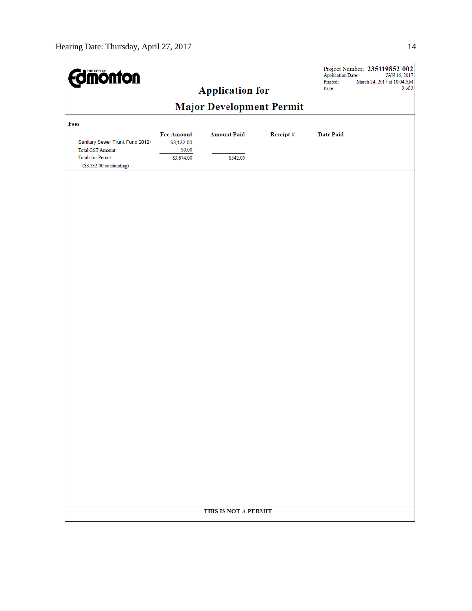| <b>dmönton</b>                                                                    |                                 | <b>Application for</b> |          | <b>Application Date:</b><br>Printed:<br>Page: | Project Number: 235119852-002<br>JAN 16, 2017<br>March 24, 2017 at 10:04 AM<br>$3$ of $3$ |
|-----------------------------------------------------------------------------------|---------------------------------|------------------------|----------|-----------------------------------------------|-------------------------------------------------------------------------------------------|
|                                                                                   |                                 |                        |          |                                               |                                                                                           |
| Fees<br>Sanitary Sewer Trunk Fund 2012+                                           | <b>Fee Amount</b><br>\$3,132.00 | <b>Amount Paid</b>     | Receipt# | <b>Date Paid</b>                              |                                                                                           |
| <b>Total GST Amount:</b><br><b>Totals for Permit:</b><br>(\$3,132.00 outstanding) | \$0.00<br>\$3,674.00            | \$542.00               |          |                                               |                                                                                           |
|                                                                                   |                                 |                        |          |                                               |                                                                                           |
|                                                                                   |                                 |                        |          |                                               |                                                                                           |
|                                                                                   |                                 |                        |          |                                               |                                                                                           |
|                                                                                   |                                 |                        |          |                                               |                                                                                           |
|                                                                                   |                                 |                        |          |                                               |                                                                                           |
|                                                                                   |                                 |                        |          |                                               |                                                                                           |
|                                                                                   |                                 |                        |          |                                               |                                                                                           |
|                                                                                   |                                 |                        |          |                                               |                                                                                           |
|                                                                                   |                                 |                        |          |                                               |                                                                                           |
|                                                                                   |                                 |                        |          |                                               |                                                                                           |
|                                                                                   |                                 |                        |          |                                               |                                                                                           |
|                                                                                   |                                 |                        |          |                                               |                                                                                           |
|                                                                                   |                                 | THIS IS NOT A PERMIT   |          |                                               |                                                                                           |